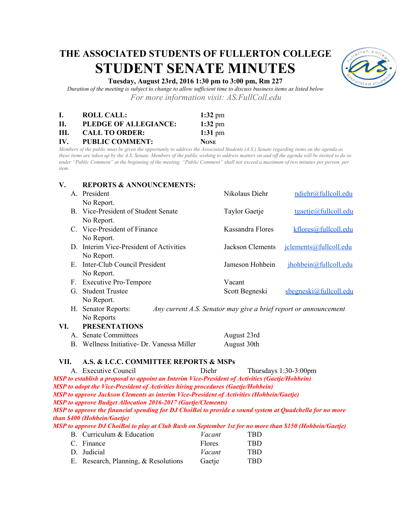# **THE ASSOCIATED STUDENTS OF FULLERTON COLLEGE STUDENT SENATE MINUTES**



# **Tuesday, August 23rd, 2016 1:30 pm to 3:00 pm, Rm 227**

*Duration of the meeting is subject to change to allow sufficient time to discuss business items as listed below For more information visit: AS.FullColl.edu*

| L.  | <b>ROLL CALL:</b>      | $1:32 \text{ pm}$ |
|-----|------------------------|-------------------|
| Н.  | PLEDGE OF ALLEGIANCE:  | $1:32 \text{ pm}$ |
| HI. | <b>CALL TO ORDER:</b>  | 1:31 pm           |
| IV. | <b>PUBLIC COMMENT:</b> | <b>NONE</b>       |

*Members of the public must be given the opportunity to address the Associated Students (A.S.) Senate regarding items on the agenda as these items are taken up by the A.S. Senate. Members of the public wishing to address matters on and off the agenda will be invited to do so under "Public Comment" at the beginning of the meeting. "Public Comment" shall not exceed a maximum of two minutes per person, per item.*

| V.                                                                                                                                      | <b>REPORTS &amp; ANNOUNCEMENTS:</b>        |                                                                  |                           |  |  |  |
|-----------------------------------------------------------------------------------------------------------------------------------------|--------------------------------------------|------------------------------------------------------------------|---------------------------|--|--|--|
|                                                                                                                                         | A. President                               | Nikolaus Diehr                                                   | ndiehr@fullcoll.edu       |  |  |  |
|                                                                                                                                         | No Report.                                 |                                                                  |                           |  |  |  |
|                                                                                                                                         | B. Vice-President of Student Senate        | Taylor Gaetje                                                    | $t$ gaetje@fullcoll.edu   |  |  |  |
|                                                                                                                                         | No Report.                                 |                                                                  |                           |  |  |  |
|                                                                                                                                         | C. Vice-President of Finance               | Kassandra Flores                                                 | kflores@fullcoll.edu      |  |  |  |
|                                                                                                                                         | No Report.                                 |                                                                  |                           |  |  |  |
|                                                                                                                                         | D. Interim Vice-President of Activities    | Jackson Clements                                                 | jclements@fullcoll.edu    |  |  |  |
|                                                                                                                                         | No Report.                                 |                                                                  |                           |  |  |  |
| $E_{\perp}$                                                                                                                             | Inter-Club Council President               | Jameson Hohbein                                                  | jhohbein@fullcoll.edu     |  |  |  |
|                                                                                                                                         | No Report.                                 |                                                                  |                           |  |  |  |
|                                                                                                                                         | F. Executive Pro-Tempore                   | Vacant                                                           |                           |  |  |  |
|                                                                                                                                         | G. Student Trustee                         | Scott Begneski                                                   | $s$ begneski@fullcoll.edu |  |  |  |
|                                                                                                                                         | No Report.                                 |                                                                  |                           |  |  |  |
|                                                                                                                                         | H. Senator Reports:                        | Any current A.S. Senator may give a brief report or announcement |                           |  |  |  |
|                                                                                                                                         | No Reports                                 |                                                                  |                           |  |  |  |
| VI.                                                                                                                                     | <b>PRESENTATIONS</b>                       |                                                                  |                           |  |  |  |
|                                                                                                                                         | A. Senate Committees                       |                                                                  | August 23rd               |  |  |  |
|                                                                                                                                         | B. Wellness Initiative- Dr. Vanessa Miller | August 30th                                                      |                           |  |  |  |
| A.S. & I.C.C. COMMITTEE REPORTS & MSPs<br>VII.                                                                                          |                                            |                                                                  |                           |  |  |  |
|                                                                                                                                         | A. Executive Council                       | Diehr                                                            | Thursdays $1:30-3:00$ pm  |  |  |  |
| MSP to establish a proposal to appoint an Interim Vice-President of Activities (Gaetje/Hohbein)                                         |                                            |                                                                  |                           |  |  |  |
| <b>MSP</b> to adopt the Vice-President of Activities hiring procedures (Gaetje/Hohbein)                                                 |                                            |                                                                  |                           |  |  |  |
| <b>MSP</b> to approve Jackson Clements as interim Vice-President of Activities (Hohbein/Gaetje)                                         |                                            |                                                                  |                           |  |  |  |
| <b>MSP</b> to approve Budget Allocation 2016-2017 (Gaetje/Clements)                                                                     |                                            |                                                                  |                           |  |  |  |
| MSP to approve the financial spending for DJ ChoiBoi to provide a sound system at Quadchella for no more<br>than \$400 (Hohbein/Gaetje) |                                            |                                                                  |                           |  |  |  |
| MSP to approve DJ ChoiBoi to play at Club Rush on September 1st for no more than \$150 (Hohbein/Gaetje)                                 |                                            |                                                                  |                           |  |  |  |
| D Curriculum & Education Vacant<br>TD D                                                                                                 |                                            |                                                                  |                           |  |  |  |

| B. Curriculum & Education            | Vacant        | TBD. |
|--------------------------------------|---------------|------|
| C. Finance                           | <b>Flores</b> | TRD. |
| D. Judicial                          | Vacant        | TRD. |
| E. Research, Planning, & Resolutions | Gaetje        | TBD. |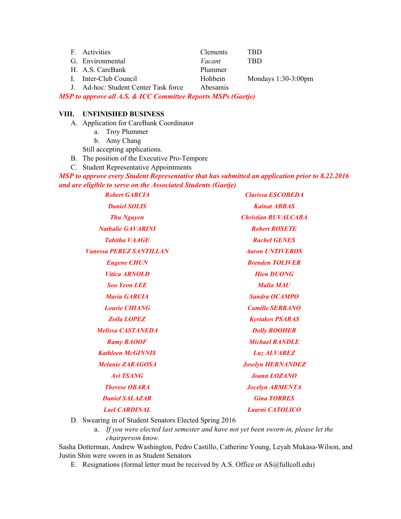| F. Activities                        | <b>Clements</b> | TRD                    |
|--------------------------------------|-----------------|------------------------|
| G. Environmental                     | Vacant          | TBD                    |
| H. A.S. CareBank                     | Plummer         |                        |
| I. Inter-Club Council                | <b>Hohbein</b>  | Mondays $1:30-3:00$ pm |
| J. Ad-hoc: Student Center Task force | Abesamis        |                        |

*MSP to approve all A.S. & ICC Committee Reports MSPs (Gaetje)*

#### **VIII. UNFINISHED BUSINESS**

A. Application for CareBank Coordinator

- a. Troy Plummer
- b. Amy Chang

Still accepting applications.

B. The position of the Executive Pro-Tempore

C. Student Representative Appointments

*MSP to approve every Student Representative that has submitted an application prior to 8.22.2016 and are eligible to serve on the Associated Students (Gaetje)*

*Robert GARCIA Clarissa ESCOBEDA Daniel SOLIS Kainat ABBAS Thu Nguyen Christian RUVALCABA Nathalie GAVARINI Robert ROSETE Tabitha VAAGE Rachel GENES Vanessa PEREZ SANTILLAN Aaron UNTIVEROS Eugene CHUN Brenden TOLIVER Vitica ARNOLD Hien DUONG Soo Yeon LEE Malia MAU Maria GARCIA Sandra OCAMPO Lourie CHIANG Camille SERRANO Zoila LOPEZ Kyriakos PSARAS Melissa CASTANEDA Dolly BOOHER Ramy RAOOF Michael RANDLE Kathleen McGINNIS Luz ALVAREZ Melanie ZARAGOSA Joselyn HERNANDEZ Avi TSANG Joann LOZANO Therese OBARA Jocelyn ARMENTA Daniel SALAZAR Gina TORRES Lael CARDINAL Laarni CATOLICO*

D. Swearing in of Student Senators Elected Spring 2016

a. If you were elected last semester and have not yet been sworn-in, please let the *chairperson know.*

Sasha Dotterman, Andrew Washington, Pedro Castillo, Catherine Young, Leyah Mukasa-Wilson, and Justin Shin were sworn in as Student Senators

E. Resignations (formal letter must be received by A.S. Office or AS@fullcoll.edu)